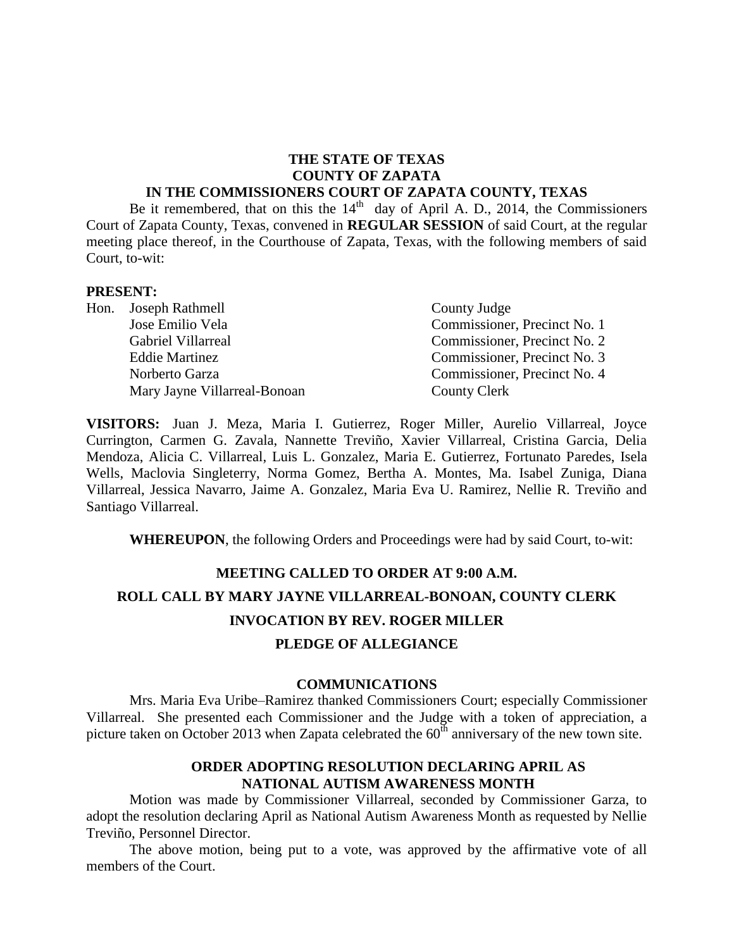## **THE STATE OF TEXAS COUNTY OF ZAPATA**

#### **IN THE COMMISSIONERS COURT OF ZAPATA COUNTY, TEXAS**

Be it remembered, that on this the  $14<sup>th</sup>$  day of April A. D., 2014, the Commissioners Court of Zapata County, Texas, convened in **REGULAR SESSION** of said Court, at the regular meeting place thereof, in the Courthouse of Zapata, Texas, with the following members of said Court, to-wit:

#### **PRESENT:**

| Hon. Joseph Rathmell         | County Judge                 |
|------------------------------|------------------------------|
| Jose Emilio Vela             | Commissioner, Precinct No. 1 |
| <b>Gabriel Villarreal</b>    | Commissioner, Precinct No. 2 |
| <b>Eddie Martinez</b>        | Commissioner, Precinct No. 3 |
| Norberto Garza               | Commissioner, Precinct No. 4 |
| Mary Jayne Villarreal-Bonoan | <b>County Clerk</b>          |

**VISITORS:** Juan J. Meza, Maria I. Gutierrez, Roger Miller, Aurelio Villarreal, Joyce Currington, Carmen G. Zavala, Nannette Treviño, Xavier Villarreal, Cristina Garcia, Delia Mendoza, Alicia C. Villarreal, Luis L. Gonzalez, Maria E. Gutierrez, Fortunato Paredes, Isela Wells, Maclovia Singleterry, Norma Gomez, Bertha A. Montes, Ma. Isabel Zuniga, Diana Villarreal, Jessica Navarro, Jaime A. Gonzalez, Maria Eva U. Ramirez, Nellie R. Treviño and Santiago Villarreal.

**WHEREUPON**, the following Orders and Proceedings were had by said Court, to-wit:

# **MEETING CALLED TO ORDER AT 9:00 A.M. ROLL CALL BY MARY JAYNE VILLARREAL-BONOAN, COUNTY CLERK INVOCATION BY REV. ROGER MILLER**

## **PLEDGE OF ALLEGIANCE**

#### **COMMUNICATIONS**

Mrs. Maria Eva Uribe–Ramirez thanked Commissioners Court; especially Commissioner Villarreal. She presented each Commissioner and the Judge with a token of appreciation, a picture taken on October 2013 when Zapata celebrated the  $60<sup>th</sup>$  anniversary of the new town site.

#### **ORDER ADOPTING RESOLUTION DECLARING APRIL AS NATIONAL AUTISM AWARENESS MONTH**

Motion was made by Commissioner Villarreal, seconded by Commissioner Garza, to adopt the resolution declaring April as National Autism Awareness Month as requested by Nellie Treviño, Personnel Director.

The above motion, being put to a vote, was approved by the affirmative vote of all members of the Court.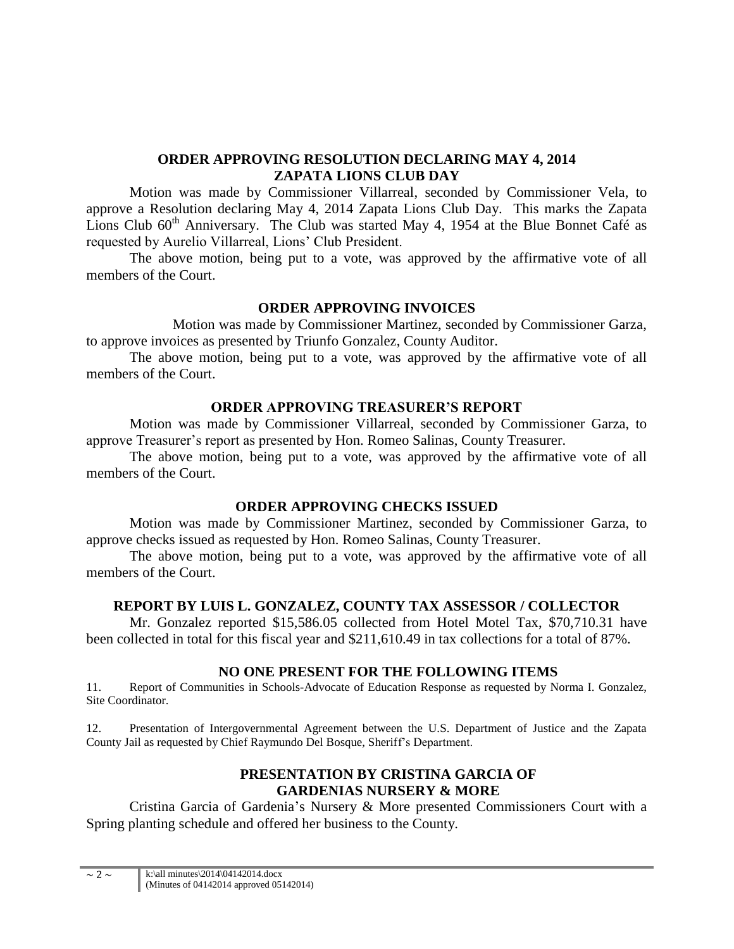## **ORDER APPROVING RESOLUTION DECLARING MAY 4, 2014 ZAPATA LIONS CLUB DAY**

Motion was made by Commissioner Villarreal, seconded by Commissioner Vela, to approve a Resolution declaring May 4, 2014 Zapata Lions Club Day. This marks the Zapata Lions Club 60<sup>th</sup> Anniversary. The Club was started May 4, 1954 at the Blue Bonnet Café as requested by Aurelio Villarreal, Lions' Club President.

The above motion, being put to a vote, was approved by the affirmative vote of all members of the Court.

## **ORDER APPROVING INVOICES**

Motion was made by Commissioner Martinez, seconded by Commissioner Garza, to approve invoices as presented by Triunfo Gonzalez, County Auditor.

The above motion, being put to a vote, was approved by the affirmative vote of all members of the Court.

## **ORDER APPROVING TREASURER'S REPORT**

Motion was made by Commissioner Villarreal, seconded by Commissioner Garza, to approve Treasurer's report as presented by Hon. Romeo Salinas, County Treasurer.

The above motion, being put to a vote, was approved by the affirmative vote of all members of the Court.

## **ORDER APPROVING CHECKS ISSUED**

Motion was made by Commissioner Martinez, seconded by Commissioner Garza, to approve checks issued as requested by Hon. Romeo Salinas, County Treasurer.

The above motion, being put to a vote, was approved by the affirmative vote of all members of the Court.

## **REPORT BY LUIS L. GONZALEZ, COUNTY TAX ASSESSOR / COLLECTOR**

Mr. Gonzalez reported \$15,586.05 collected from Hotel Motel Tax, \$70,710.31 have been collected in total for this fiscal year and \$211,610.49 in tax collections for a total of 87%.

## **NO ONE PRESENT FOR THE FOLLOWING ITEMS**

11. Report of Communities in Schools-Advocate of Education Response as requested by Norma I. Gonzalez, Site Coordinator.

12. Presentation of Intergovernmental Agreement between the U.S. Department of Justice and the Zapata County Jail as requested by Chief Raymundo Del Bosque, Sheriff's Department.

## **PRESENTATION BY CRISTINA GARCIA OF GARDENIAS NURSERY & MORE**

Cristina Garcia of Gardenia's Nursery & More presented Commissioners Court with a Spring planting schedule and offered her business to the County.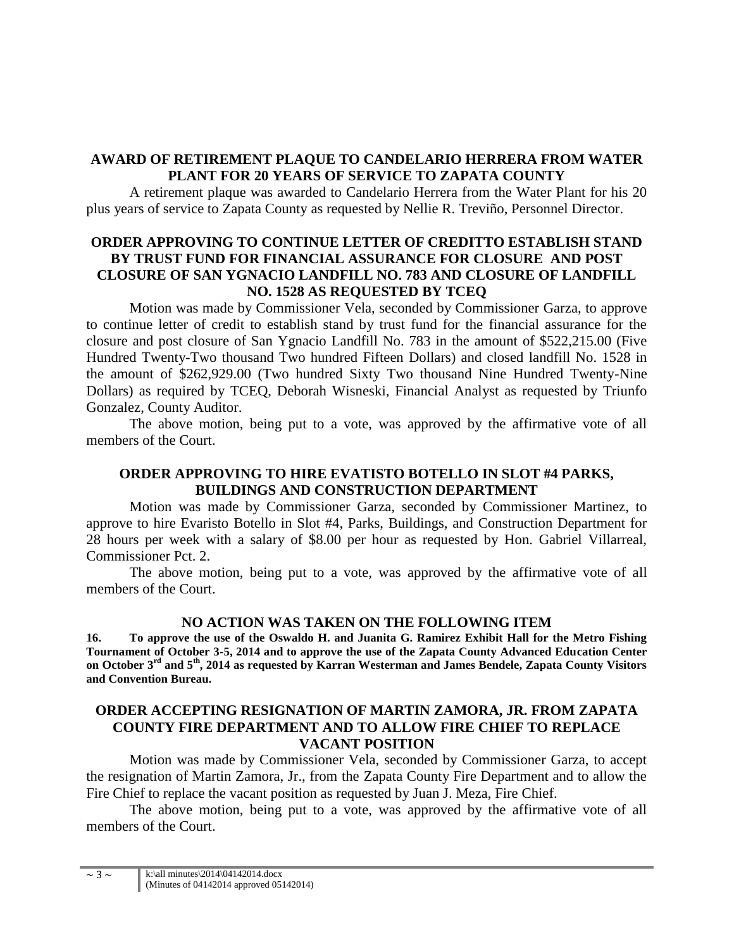## **AWARD OF RETIREMENT PLAQUE TO CANDELARIO HERRERA FROM WATER PLANT FOR 20 YEARS OF SERVICE TO ZAPATA COUNTY**

A retirement plaque was awarded to Candelario Herrera from the Water Plant for his 20 plus years of service to Zapata County as requested by Nellie R. Treviño, Personnel Director.

## **ORDER APPROVING TO CONTINUE LETTER OF CREDITTO ESTABLISH STAND BY TRUST FUND FOR FINANCIAL ASSURANCE FOR CLOSURE AND POST CLOSURE OF SAN YGNACIO LANDFILL NO. 783 AND CLOSURE OF LANDFILL NO. 1528 AS REQUESTED BY TCEQ**

Motion was made by Commissioner Vela, seconded by Commissioner Garza, to approve to continue letter of credit to establish stand by trust fund for the financial assurance for the closure and post closure of San Ygnacio Landfill No. 783 in the amount of \$522,215.00 (Five Hundred Twenty-Two thousand Two hundred Fifteen Dollars) and closed landfill No. 1528 in the amount of \$262,929.00 (Two hundred Sixty Two thousand Nine Hundred Twenty-Nine Dollars) as required by TCEQ, Deborah Wisneski, Financial Analyst as requested by Triunfo Gonzalez, County Auditor.

The above motion, being put to a vote, was approved by the affirmative vote of all members of the Court.

## **ORDER APPROVING TO HIRE EVATISTO BOTELLO IN SLOT #4 PARKS, BUILDINGS AND CONSTRUCTION DEPARTMENT**

Motion was made by Commissioner Garza, seconded by Commissioner Martinez, to approve to hire Evaristo Botello in Slot #4, Parks, Buildings, and Construction Department for 28 hours per week with a salary of \$8.00 per hour as requested by Hon. Gabriel Villarreal, Commissioner Pct. 2.

The above motion, being put to a vote, was approved by the affirmative vote of all members of the Court.

#### **NO ACTION WAS TAKEN ON THE FOLLOWING ITEM**

**16. To approve the use of the Oswaldo H. and Juanita G. Ramirez Exhibit Hall for the Metro Fishing Tournament of October 3-5, 2014 and to approve the use of the Zapata County Advanced Education Center on October 3rd and 5th, 2014 as requested by Karran Westerman and James Bendele, Zapata County Visitors and Convention Bureau.**

## **ORDER ACCEPTING RESIGNATION OF MARTIN ZAMORA, JR. FROM ZAPATA COUNTY FIRE DEPARTMENT AND TO ALLOW FIRE CHIEF TO REPLACE VACANT POSITION**

Motion was made by Commissioner Vela, seconded by Commissioner Garza, to accept the resignation of Martin Zamora, Jr., from the Zapata County Fire Department and to allow the Fire Chief to replace the vacant position as requested by Juan J. Meza, Fire Chief.

The above motion, being put to a vote, was approved by the affirmative vote of all members of the Court.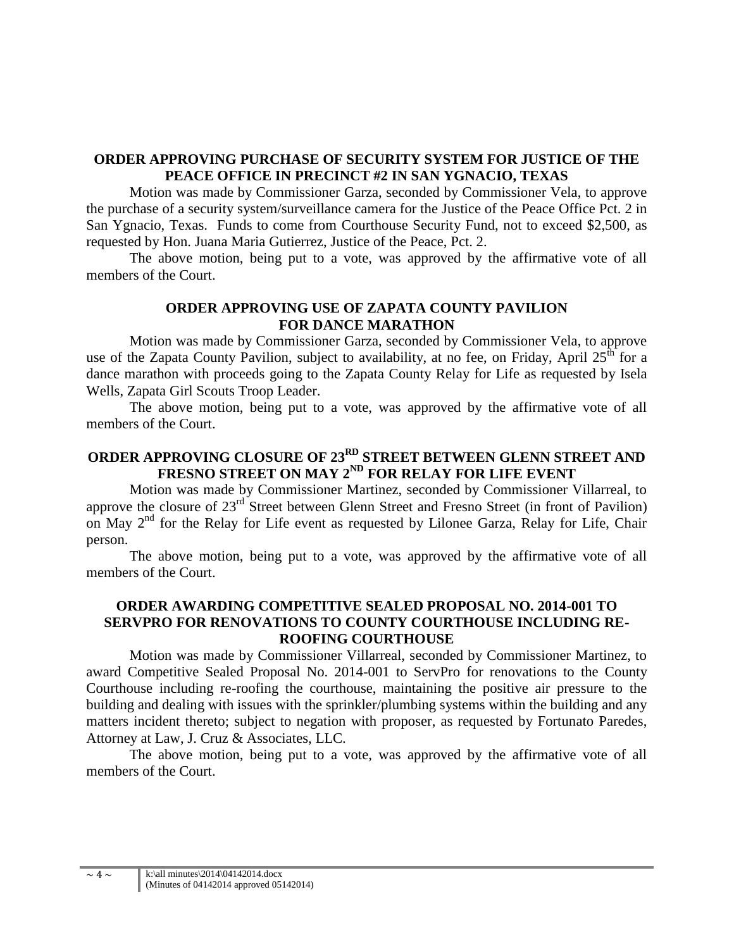## **ORDER APPROVING PURCHASE OF SECURITY SYSTEM FOR JUSTICE OF THE PEACE OFFICE IN PRECINCT #2 IN SAN YGNACIO, TEXAS**

Motion was made by Commissioner Garza, seconded by Commissioner Vela, to approve the purchase of a security system/surveillance camera for the Justice of the Peace Office Pct. 2 in San Ygnacio, Texas. Funds to come from Courthouse Security Fund, not to exceed \$2,500, as requested by Hon. Juana Maria Gutierrez, Justice of the Peace, Pct. 2.

The above motion, being put to a vote, was approved by the affirmative vote of all members of the Court.

## **ORDER APPROVING USE OF ZAPATA COUNTY PAVILION FOR DANCE MARATHON**

Motion was made by Commissioner Garza, seconded by Commissioner Vela, to approve use of the Zapata County Pavilion, subject to availability, at no fee, on Friday, April  $25<sup>th</sup>$  for a dance marathon with proceeds going to the Zapata County Relay for Life as requested by Isela Wells, Zapata Girl Scouts Troop Leader.

The above motion, being put to a vote, was approved by the affirmative vote of all members of the Court.

# **ORDER APPROVING CLOSURE OF 23RD STREET BETWEEN GLENN STREET AND FRESNO STREET ON MAY 2ND FOR RELAY FOR LIFE EVENT**

Motion was made by Commissioner Martinez, seconded by Commissioner Villarreal, to approve the closure of 23<sup>rd</sup> Street between Glenn Street and Fresno Street (in front of Pavilion) on May  $2<sup>nd</sup>$  for the Relay for Life event as requested by Lilonee Garza, Relay for Life, Chair person.

The above motion, being put to a vote, was approved by the affirmative vote of all members of the Court.

## **ORDER AWARDING COMPETITIVE SEALED PROPOSAL NO. 2014-001 TO SERVPRO FOR RENOVATIONS TO COUNTY COURTHOUSE INCLUDING RE-ROOFING COURTHOUSE**

Motion was made by Commissioner Villarreal, seconded by Commissioner Martinez, to award Competitive Sealed Proposal No. 2014-001 to ServPro for renovations to the County Courthouse including re-roofing the courthouse, maintaining the positive air pressure to the building and dealing with issues with the sprinkler/plumbing systems within the building and any matters incident thereto; subject to negation with proposer, as requested by Fortunato Paredes, Attorney at Law, J. Cruz & Associates, LLC.

The above motion, being put to a vote, was approved by the affirmative vote of all members of the Court.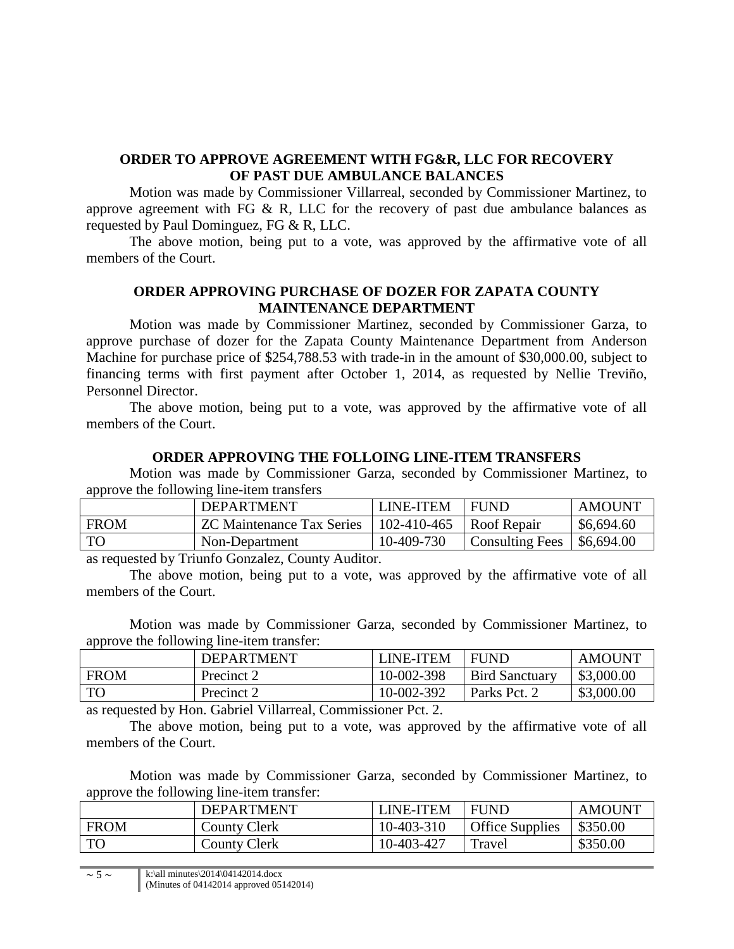## **ORDER TO APPROVE AGREEMENT WITH FG&R, LLC FOR RECOVERY OF PAST DUE AMBULANCE BALANCES**

Motion was made by Commissioner Villarreal, seconded by Commissioner Martinez, to approve agreement with FG  $\&$  R, LLC for the recovery of past due ambulance balances as requested by Paul Dominguez, FG & R, LLC.

The above motion, being put to a vote, was approved by the affirmative vote of all members of the Court.

## **ORDER APPROVING PURCHASE OF DOZER FOR ZAPATA COUNTY MAINTENANCE DEPARTMENT**

Motion was made by Commissioner Martinez, seconded by Commissioner Garza, to approve purchase of dozer for the Zapata County Maintenance Department from Anderson Machine for purchase price of \$254,788.53 with trade-in in the amount of \$30,000.00, subject to financing terms with first payment after October 1, 2014, as requested by Nellie Treviño, Personnel Director.

The above motion, being put to a vote, was approved by the affirmative vote of all members of the Court.

#### **ORDER APPROVING THE FOLLOING LINE-ITEM TRANSFERS**

Motion was made by Commissioner Garza, seconded by Commissioner Martinez, to approve the following line-item transfers

|           | <b>DEPARTMENT</b>                | LINE-ITEM   | <b>FUND</b>            | <b>AMOUNT</b> |
|-----------|----------------------------------|-------------|------------------------|---------------|
| FROM      | <b>ZC</b> Maintenance Tax Series | 102-410-465 | Roof Repair            | \$6,694.60    |
| <b>TO</b> | Non-Department                   | 10-409-730  | <b>Consulting Fees</b> | \$6,694.00    |

as requested by Triunfo Gonzalez, County Auditor.

The above motion, being put to a vote, was approved by the affirmative vote of all members of the Court.

Motion was made by Commissioner Garza, seconded by Commissioner Martinez, to approve the following line-item transfer:

|             | DEPARTMENT | <b>_INE-ITEM</b> | <b>FUND</b>           | <b>AMOUNT</b> |
|-------------|------------|------------------|-----------------------|---------------|
| <b>FROM</b> | Precinct 2 | 10-002-398       | <b>Bird Sanctuary</b> | \$3,000.00    |
| TC          | Precinct 2 | 10-002-392       | Parks Pct.            | \$3,000.00    |

as requested by Hon. Gabriel Villarreal, Commissioner Pct. 2.

The above motion, being put to a vote, was approved by the affirmative vote of all members of the Court.

Motion was made by Commissioner Garza, seconded by Commissioner Martinez, to approve the following line-item transfer:

|             | <b>DEPARTMENT</b>   | LINE-ITEM  | <b>FUND</b>            | <b>AMOUNT</b> |
|-------------|---------------------|------------|------------------------|---------------|
| <b>FROM</b> | <b>County Clerk</b> | 10-403-310 | <b>Office Supplies</b> | \$350.00      |
| TO          | <b>County Clerk</b> | 10-403-427 | Travel                 | \$350.00      |